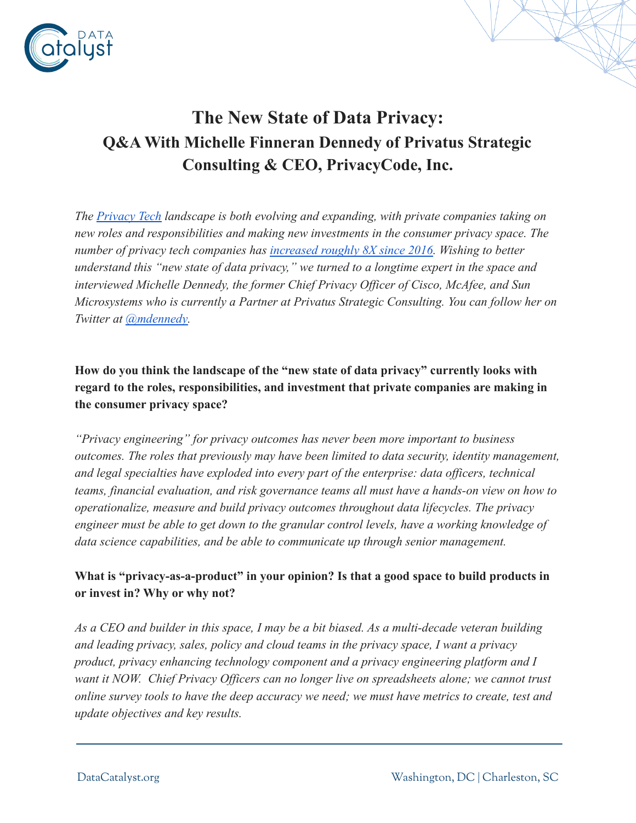

## **The New State of Data Privacy: Q&A With Michelle Finneran Dennedy of Privatus Strategic Consulting & CEO, PrivacyCode, Inc.**

*The [Privacy Tech](https://www.riseofprivacytech.com/wp-content/uploads/2021/11/TROPT-Defining-the-Privacy-Tech-Landscape-2021-v1.0-1.pdf) landscape is both evolving and expanding, with private companies taking on new roles and responsibilities and making new investments in the consumer privacy space. The number of privacy tech companies has [increased roughly](https://www.adexchanger.com/privacy/the-privacy-tech-vendor-landscape-exploded-in-2021/) 8X since 2016. Wishing to better understand this "new state of data privacy," we turned to a longtime expert in the space and interviewed Michelle Dennedy, the former Chief Privacy Officer of Cisco, McAfee, and Sun Microsystems who is currently a Partner at Privatus Strategic Consulting. You can follow her on Twitter at [@mdennedy.](https://twitter.com/mdennedy?lang=en)*

**How do you think the landscape of the "new state of data privacy" currently looks with regard to the roles, responsibilities, and investment that private companies are making in the consumer privacy space?**

*"Privacy engineering" for privacy outcomes has never been more important to business outcomes. The roles that previously may have been limited to data security, identity management, and legal specialties have exploded into every part of the enterprise: data officers, technical teams, financial evaluation, and risk governance teams all must have a hands-on view on how to operationalize, measure and build privacy outcomes throughout data lifecycles. The privacy engineer must be able to get down to the granular control levels, have a working knowledge of data science capabilities, and be able to communicate up through senior management.*

## **What is "privacy-as-a-product" in your opinion? Is that a good space to build products in or invest in? Why or why not?**

*As a CEO and builder in this space, I may be a bit biased. As a multi-decade veteran building and leading privacy, sales, policy and cloud teams in the privacy space, I want a privacy product, privacy enhancing technology component and a privacy engineering platform and I want it NOW. Chief Privacy Officers can no longer live on spreadsheets alone; we cannot trust online survey tools to have the deep accuracy we need; we must have metrics to create, test and update objectives and key results.*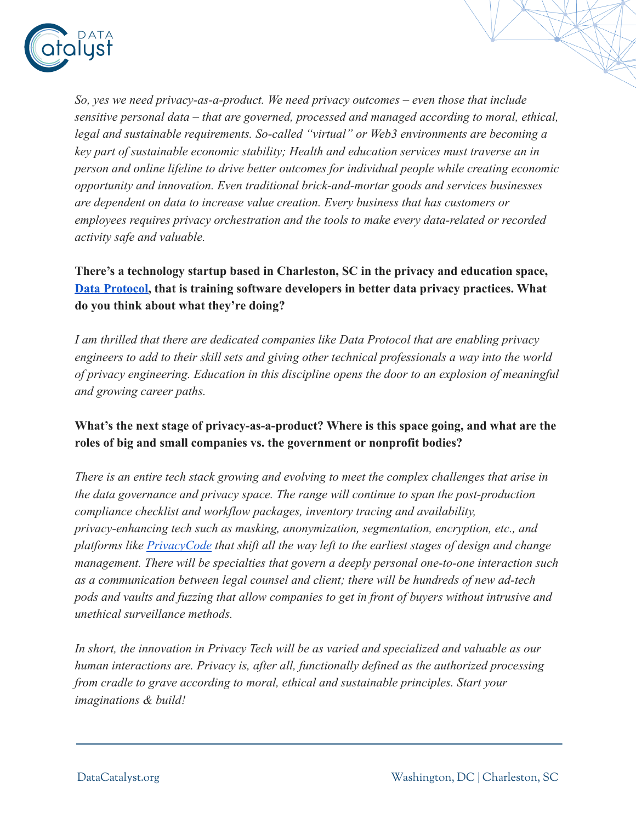

*So, yes we need privacy-as-a-product. We need privacy outcomes – even those that include sensitive personal data – that are governed, processed and managed according to moral, ethical, legal and sustainable requirements. So-called "virtual" or Web3 environments are becoming a key part of sustainable economic stability; Health and education services must traverse an in person and online lifeline to drive better outcomes for individual people while creating economic opportunity and innovation. Even traditional brick-and-mortar goods and services businesses are dependent on data to increase value creation. Every business that has customers or employees requires privacy orchestration and the tools to make every data-related or recorded activity safe and valuable.*

**There's a technology startup based in Charleston, SC in the privacy and education space, [Data Protocol,](https://dataprotocol.com/) that is training software developers in better data privacy practices. What do you think about what they're doing?**

*I am thrilled that there are dedicated companies like Data Protocol that are enabling privacy engineers to add to their skill sets and giving other technical professionals a way into the world of privacy engineering. Education in this discipline opens the door to an explosion of meaningful and growing career paths.*

## **What's the next stage of privacy-as-a-product? Where is this space going, and what are the roles of big and small companies vs. the government or nonprofit bodies?**

*There is an entire tech stack growing and evolving to meet the complex challenges that arise in the data governance and privacy space. The range will continue to span the post-production compliance checklist and workflow packages, inventory tracing and availability, privacy-enhancing tech such as masking, anonymization, segmentation, encryption, etc., and platforms like [PrivacyCode](https://privacycode.ai/) that shift all the way left to the earliest stages of design and change management. There will be specialties that govern a deeply personal one-to-one interaction such as a communication between legal counsel and client; there will be hundreds of new ad-tech pods and vaults and fuzzing that allow companies to get in front of buyers without intrusive and unethical surveillance methods.*

*In short, the innovation in Privacy Tech will be as varied and specialized and valuable as our human interactions are. Privacy is, after all, functionally defined as the authorized processing from cradle to grave according to moral, ethical and sustainable principles. Start your imaginations & build!*